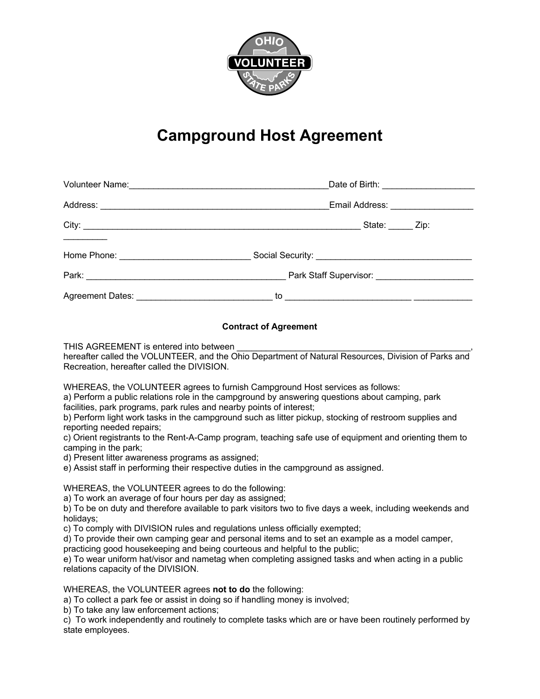

## **Campground Host Agreement**

| Email Address: ____________________ |
|-------------------------------------|
| State: ______ Zip:                  |
|                                     |
|                                     |
|                                     |

## **Contract of Agreement**

THIS AGREEMENT is entered into between

hereafter called the VOLUNTEER, and the Ohio Department of Natural Resources. Division of Parks and Recreation, hereafter called the DIVISION.

WHEREAS, the VOLUNTEER agrees to furnish Campground Host services as follows:

a) Perform a public relations role in the campground by answering questions about camping, park facilities, park programs, park rules and nearby points of interest;

b) Perform light work tasks in the campground such as litter pickup, stocking of restroom supplies and reporting needed repairs;

c) Orient registrants to the Rent-A-Camp program, teaching safe use of equipment and orienting them to camping in the park;

d) Present litter awareness programs as assigned;

e) Assist staff in performing their respective duties in the campground as assigned.

WHEREAS, the VOLUNTEER agrees to do the following:

a) To work an average of four hours per day as assigned;

b) To be on duty and therefore available to park visitors two to five days a week, including weekends and holidays;

c) To comply with DIVISION rules and regulations unless officially exempted;

d) To provide their own camping gear and personal items and to set an example as a model camper, practicing good housekeeping and being courteous and helpful to the public;

e) To wear uniform hat/visor and nametag when completing assigned tasks and when acting in a public relations capacity of the DIVISION.

WHEREAS, the VOLUNTEER agrees **not to do** the following:

a) To collect a park fee or assist in doing so if handling money is involved;

b) To take any law enforcement actions;

c) To work independently and routinely to complete tasks which are or have been routinely performed by state employees.